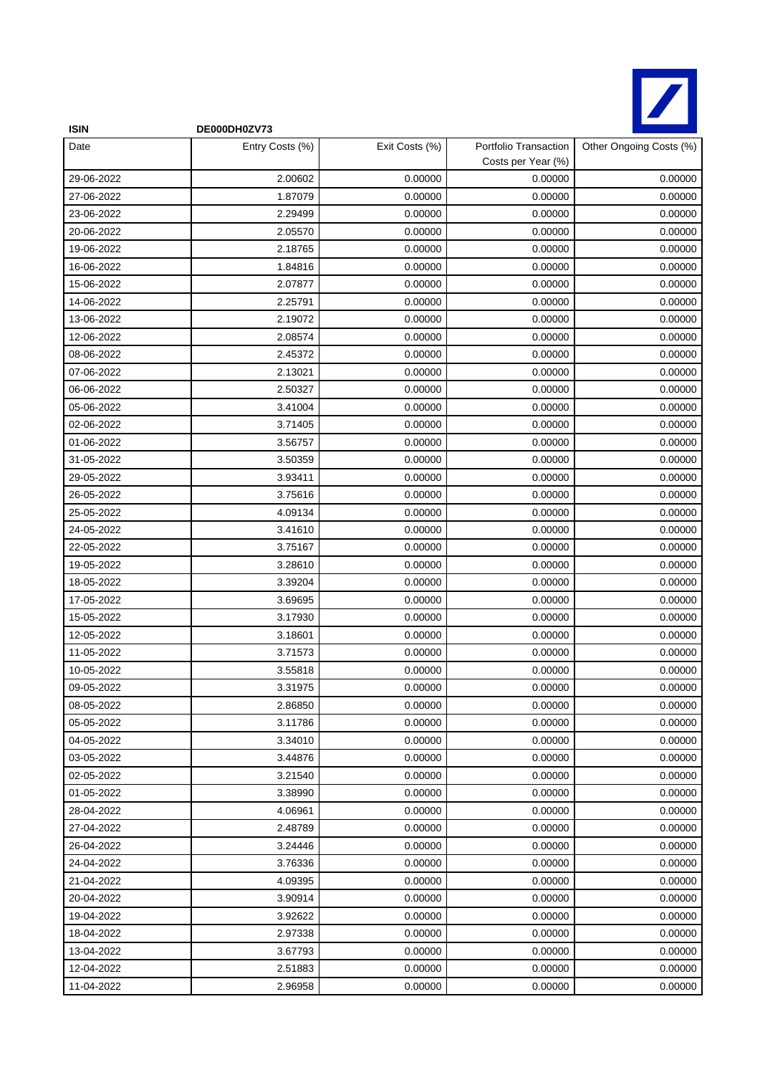

| <b>ISIN</b> | DE000DH0ZV73    |                |                                             |                         |
|-------------|-----------------|----------------|---------------------------------------------|-------------------------|
| Date        | Entry Costs (%) | Exit Costs (%) | Portfolio Transaction<br>Costs per Year (%) | Other Ongoing Costs (%) |
| 29-06-2022  | 2.00602         | 0.00000        | 0.00000                                     | 0.00000                 |
| 27-06-2022  | 1.87079         | 0.00000        | 0.00000                                     | 0.00000                 |
| 23-06-2022  | 2.29499         | 0.00000        | 0.00000                                     | 0.00000                 |
| 20-06-2022  | 2.05570         | 0.00000        | 0.00000                                     | 0.00000                 |
| 19-06-2022  | 2.18765         | 0.00000        | 0.00000                                     | 0.00000                 |
| 16-06-2022  | 1.84816         | 0.00000        | 0.00000                                     | 0.00000                 |
| 15-06-2022  | 2.07877         | 0.00000        | 0.00000                                     | 0.00000                 |
| 14-06-2022  | 2.25791         | 0.00000        | 0.00000                                     | 0.00000                 |
| 13-06-2022  | 2.19072         | 0.00000        | 0.00000                                     | 0.00000                 |
| 12-06-2022  | 2.08574         | 0.00000        | 0.00000                                     | 0.00000                 |
| 08-06-2022  | 2.45372         | 0.00000        | 0.00000                                     | 0.00000                 |
| 07-06-2022  | 2.13021         | 0.00000        | 0.00000                                     | 0.00000                 |
| 06-06-2022  | 2.50327         | 0.00000        | 0.00000                                     | 0.00000                 |
| 05-06-2022  | 3.41004         | 0.00000        | 0.00000                                     | 0.00000                 |
| 02-06-2022  | 3.71405         | 0.00000        | 0.00000                                     | 0.00000                 |
| 01-06-2022  | 3.56757         | 0.00000        | 0.00000                                     | 0.00000                 |
| 31-05-2022  | 3.50359         | 0.00000        | 0.00000                                     | 0.00000                 |
| 29-05-2022  | 3.93411         | 0.00000        | 0.00000                                     | 0.00000                 |
| 26-05-2022  | 3.75616         | 0.00000        | 0.00000                                     | 0.00000                 |
| 25-05-2022  | 4.09134         | 0.00000        | 0.00000                                     | 0.00000                 |
| 24-05-2022  | 3.41610         | 0.00000        | 0.00000                                     | 0.00000                 |
| 22-05-2022  | 3.75167         | 0.00000        | 0.00000                                     | 0.00000                 |
| 19-05-2022  | 3.28610         | 0.00000        | 0.00000                                     | 0.00000                 |
| 18-05-2022  | 3.39204         | 0.00000        | 0.00000                                     | 0.00000                 |
| 17-05-2022  | 3.69695         | 0.00000        | 0.00000                                     | 0.00000                 |
| 15-05-2022  | 3.17930         | 0.00000        | 0.00000                                     | 0.00000                 |
| 12-05-2022  | 3.18601         | 0.00000        | 0.00000                                     | 0.00000                 |
| 11-05-2022  | 3.71573         | 0.00000        | 0.00000                                     | 0.00000                 |
| 10-05-2022  | 3.55818         | 0.00000        | 0.00000                                     | 0.00000                 |
| 09-05-2022  | 3.31975         | 0.00000        | 0.00000                                     | 0.00000                 |
| 08-05-2022  | 2.86850         | 0.00000        | 0.00000                                     | 0.00000                 |
| 05-05-2022  | 3.11786         | 0.00000        | 0.00000                                     | 0.00000                 |
| 04-05-2022  | 3.34010         | 0.00000        | 0.00000                                     | 0.00000                 |
| 03-05-2022  | 3.44876         | 0.00000        | 0.00000                                     | 0.00000                 |
| 02-05-2022  | 3.21540         | 0.00000        | 0.00000                                     | 0.00000                 |
| 01-05-2022  | 3.38990         | 0.00000        | 0.00000                                     | 0.00000                 |
| 28-04-2022  | 4.06961         | 0.00000        | 0.00000                                     | 0.00000                 |
| 27-04-2022  | 2.48789         | 0.00000        | 0.00000                                     | 0.00000                 |
| 26-04-2022  | 3.24446         | 0.00000        | 0.00000                                     | 0.00000                 |
| 24-04-2022  | 3.76336         | 0.00000        | 0.00000                                     | 0.00000                 |
| 21-04-2022  | 4.09395         | 0.00000        | 0.00000                                     | 0.00000                 |
| 20-04-2022  | 3.90914         | 0.00000        | 0.00000                                     | 0.00000                 |
| 19-04-2022  | 3.92622         | 0.00000        | 0.00000                                     | 0.00000                 |
| 18-04-2022  | 2.97338         | 0.00000        | 0.00000                                     | 0.00000                 |
| 13-04-2022  | 3.67793         | 0.00000        | 0.00000                                     | 0.00000                 |
| 12-04-2022  | 2.51883         | 0.00000        | 0.00000                                     | 0.00000                 |
| 11-04-2022  | 2.96958         | 0.00000        | 0.00000                                     | 0.00000                 |